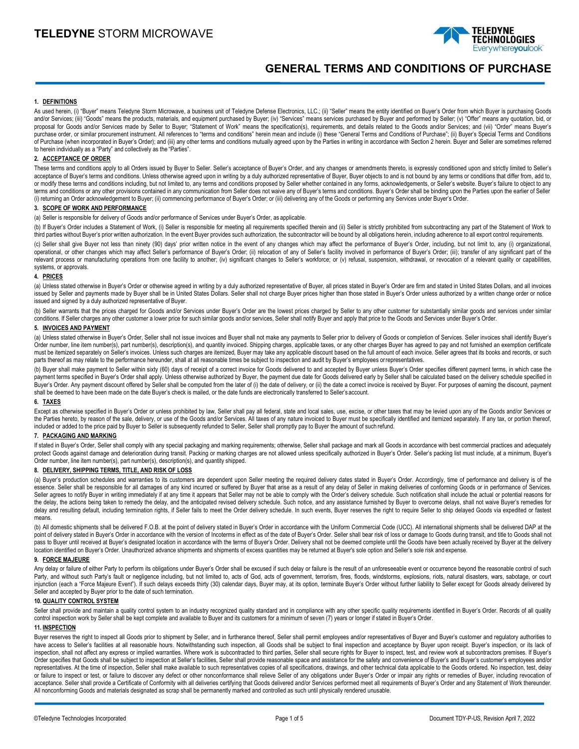

# **GENERAL TERMS AND CONDITIONS OF PURCHASE**

### **1. DEFINITIONS**

As used herein, (i) "Buyer" means Teledyne Storm Microwave, a business unit of Teledyne Defense Electronics, LLC.; (ii) "Seller" means the entity identified on Buyer's Order from which Buyer is purchasing Goods and/or Services; (iii) "Goods" means the products, materials, and equipment purchased by Buyer; (iv) "Services" means services purchased by Buyer and performed by Seller; (v) "Offer" means any quotation, bid, or proposal for Goods and/or Services made by Seller to Buyer; "Statement of Work" means the specification(s), requirements, and details related to the Goods and/or Services; and (vii) "Order" means Buyer's purchase order, or similar procurement instrument. All references to "terms and conditions" herein mean and include (i) these "General Terms and Conditions of Purchase"; (ii) Buyer's Special Terms and Conditions of Purchase (when incorporated in Buyer's Order); and (iii) any other terms and conditions mutually agreed upon by the Parties in writing in accordance with Section 2 herein. Buyer and Seller are sometimes referred to herein individually as a "Party" and collectively as the "Parties".

# **2. ACCEPTANCE OF ORDER**

These terms and conditions apply to all Orders issued by Buyer to Seller's acceptance of Buyer's Order, and any changes or amendments thereto, is expressly conditioned upon and strictly limited to Seller's acceptance of Buyer's terms and conditions. Unless otherwise agreed upon in writing by a duly authorized representative of Buyer, Buyer objects to and is not bound by any terms or conditions that differ from, add to, or modify these terms and conditions including, but not limited to, any terms and conditions proposed by Seller whether contained in any forms, acknowledgements, or Seller's website. Buyer's failure to object to any terms and conditions or any other provisions contained in any communication from Seller does not waive any of Buyer's terms and conditions. Buyer's Order shall be binding upon the Parties upon the earlier of Seller (i) returning an Order acknowledgement to Buyer; (ii) commencing performance of Buyer's Order; or (iii) delivering any of the Goods or performing any Services under Buyer's Order.

# **3. SCOPE OF WORK AND PERFORMANCE**

(a) Seller is responsible for delivery of Goods and/or performance of Services under Buyer's Order, as applicable.

(b) If Buyer's Order includes a Statement of Work, (i) Seller is responsible for meeting all requirements specified therein and (ii) Seller is strictly prohibited from subcontracting any part of the Statement of Work to third parties without Buyer's prior written authorization. In the event Buyer provides such authorization, the subcontractor will be bound by all obligations herein, including adherence to all export control requirements.

(c) Seller shall give Buyer not less than ninety (90) days' prior written notice in the event of any changes which may affect the performance of Buyer's Order, including, but not limit to, any (i) organizational, operational, or other changes which may affect Seller's performance of Buyer's Order; (ii) relocation of any of Seller's facility involved in performance of Buyer's Order; (iii); transfer of any significant part of the relevant process or manufacturing operations from one facility to another; (iv) significant changes to Seller's workforce; or (v) refusal, suspension, withdrawal, or revocation of a relevant quality or capabilities, systems, or approvals.

### **4. PRICES**

(a) Unless stated otherwise in Buyer's Order or otherwise agreed in writing by a duly authorized representative of Buyer, all prices stated in Buyer's Order are firm and stated in United States Dollars, and all invoices issued by Seller and payments made by Buyer shall be in United States Dollars. Seller shall not charge Buyer prices higher than those stated in Buyer's Order unless authorized by a written change order or notice issued and signed by a duly authorized representative of Buyer.

(b) Seller warrants that the prices charged for Goods and/or Services under Buyer's Order are the lowest prices charged by Seller to any other customer for substantially similar goods and services under similar conditions. If Seller charges any other customer a lower price for such similar goods and/or services, Seller shall notify Buyer and apply that price to the Goods and Services under Buyer's Order.

# **5. INVOICES AND PAYMENT**

(a) Unless stated otherwise in Buyer's Order, Seller shall not issue invoices and Buyer shall not make any payments to Seller prior to delivery of Goods or completion of Services. Seller invoices shall identify Buyer's Order number, line item number(s), part number(s), description(s), and quantity invoiced. Shipping charges, applicable taxes, or any other charges Buyer has agreed to pay and not furnished an exemption certificate must be itemized separately on Seller's invoices. Unless such charges are itemized, Buyer may take any applicable discount based on the full amount of each invoice. Seller agrees that its books and records, or such parts thereof as may relate to the performance hereunder, shall at all reasonable times be subject to inspection and audit by Buyer's employees orrepresentatives.

(b) Buyer shall make payment to Seller within sixty (60) days of receipt of a correct invoice for Goods delivered to and accepted by Buyer unless Buyer's Order specifies different payment terms, in which case the payment terms specified in Buyer's Order shall apply. Unless otherwise authorized by Buyer, the payment due date for Goods delivered early by Seller shall be calculated based on the delivery schedule specified in Buyer's Order. Any payment discount offered by Seller shall be computed from the later of (i) the date of delivery, or (ii) the date a correct invoice is received by Buyer. For purposes of earning the discount, payment shall be deemed to have been made on the date Buyer's check is mailed, or the date funds are electronically transferred to Seller's account.

### **6. TAXES**

Except as otherwise specified in Buyer's Order or unless prohibited by law, Seller shall pay all federal, state and local sales, use, excise, or other taxes that may be levied upon any of the Goods and/or Services or the Parties hereto, by reason of the sale, delivery, or use of the Goods and/or Services. All taxes of any nature invoiced to Buyer must be specifically identified and itemized separately. If any tax, or portion thereof, included or added to the price paid by Buyer to Seller is subsequently refunded to Seller, Seller shall promptly pay to Buyer the amount of such refund.

# **7. PACKAGING AND MARKING**

If stated in Buyer's Order, Seller shall comply with any special packaging and marking requirements; otherwise, Seller shall package and mark all Goods in accordance with best commercial practices and adequately protect Goods against damage and deterioration during transit. Packing or marking charges are not allowed unless specifically authorized in Buyer's Order. Seller's packing list must include, at a minimum, Buyer's Order number, line item number(s), part number(s), description(s), and quantity shipped.

# **8. DELIVERY, SHIPPING TERMS, TITLE, AND RISK OF LOSS**

(a) Buyer's production schedules and warranties to its customers are dependent upon Seller meeting the required delivery dates stated in Buyer's Order. Accordingly, time of performance and delivery is of the essence. Seller shall be responsible for all damages of any kind incurred or suffered by Buyer that arise as a result of any delay of Seller in making deliveries of conforming Goods or in performance of Services. Seller agrees to notify Buyer in writing immediately if at any time it appears that Seller may not be able to comply with the Order's delivery schedule. Such notification shall include the actual or potential reasons for the delay, the actions being taken to remedy the delay, and the anticipated revised delivery schedule. Such notice, and any assistance furnished by Buyer to overcome delays, shall not waive Buyer's remedies for delay and resulting default, including termination rights, if Seller fails to meet the Order delivery schedule. In such events, Buyer reserves the right to require Seller to ship delayed Goods via expedited or fastest means.

(b) All domestic shipments shall be delivered F.O.B. at the point of delivery stated in Buyer's Order in accordance with the Uniform Commercial Code (UCC). All international shipments shall be delivered DAP at the point of delivery stated in Buyer's Order in accordance with the version of Incoterms in effect as of the date of Buyer's Order. Seller shall bear risk of loss or damage to Goods during transit, and title to Goods shall no pass to Buyer until received at Buyer's designated location in accordance with the terms of Buyer's Order. Delivery shall not be deemed complete until the Goods have been actually received by Buyer at the delivery location identified on Buyer's Order. Unauthorized advance shipments and shipments of excess quantities may be returned at Buyer's sole option and Seller's sole risk and expense.

#### **9. FORCE MAJEURE**

Any delay or failure of either Party to perform its obligations under Buyer's Order shall be excused if such delay or failure is the result of an unforeseeable event or occurrence beyond the reasonable control of such Party, and without such Party's fault or negligence including, but not limited to, acts of God, acts of government, terrorism, fires, floods, windstorms, explosions, riots, natural disasters, wars, sabotage, or court injunction (each a "Force Majeure Event"). If such delays exceeds thirty (30) calendar days, Buyer may, at its option, terminate Buyer's Order without further liability to Seller except for Goods already delivered by Seller and accepted by Buyer prior to the date of such termination.

#### **10. QUALITY CONTROL SYSTEM**

Seller shall provide and maintain a quality control system to an industry recognized quality standard and in compliance with any other specific quality requirements identified in Buyer's Order. Records of all quality control inspection work by Seller shall be kept complete and available to Buyer and its customers for a minimum of seven (7) years or longer if stated in Buyer's Order.

## **11. INSPECTION**

Buyer reserves the right to inspect all Goods prior to shipment by Seller, and in furtherance thereof, Seller shall permit employees and/or representatives of Buyer and Buyer's customer and regulatory authorities to have access to Seller's facilities at all reasonable hours. Notwithstanding such inspection, all Goods shall be subject to final inspection and acceptance by Buyer upon receipt. Buyer's inspection, or its lack of inspection, shall not affect any express or implied warranties. Where work is subcontracted to third parties, Seller shall secure rights for Buyer to inspect, test, and review work at subcontractors premises. If Buyer's Order specifies that Goods shall be subject to inspection at Seller's facilities, Seller shall provide reasonable space and assistance for the safety and convenience of Buyer's and Buyer's customer's employees and/or representatives. At the time of inspection, Seller shall make available to such representatives copies of all specifications, drawings, and other technical data applicable to the Goods ordered. No inspection, test, delay or failure to inspect or test, or failure to discover any defect or other nonconformance shall relieve Seller of any obligations under Buyer's Order or impair any rights or remedies of Buyer, including revocation of acceptance. Seller shall provide a Certificate of Conformity with all deliveries certifying that Goods delivered and/or Services performed meet all requirements of Buyer's Order and any Statement of Work thereunder. All nonconforming Goods and materials designated as scrap shall be permanently marked and controlled as such until physically rendered unusable.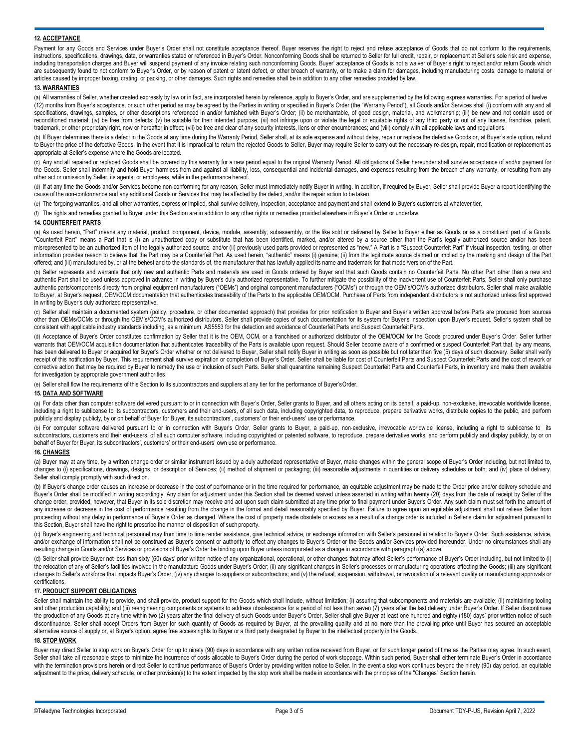## **12. ACCEPTANCE**

Payment for any Goods and Services under Buyer's Order shall not constitute acceptance thereof. Buyer reserves the right to reject and refuse acceptance of Goods that do not conform to the requirements, instructions, specifications, drawings, data, or warranties stated or referenced in Buyer's Order. Nonconforming Goods shall be returned to Seller for full credit, repair, or replacement at Seller's sole risk and expense, including transportation charges and Buyer will suspend payment of any invoice relating such nonconforming Goods. Buyer' acceptance of Goods is not a waiver of Buyer's right to reject and/or return Goods which are subsequently found to not conform to Buyer's Order, or by reason of patent or latent defect, or other breach of warranty, or to make a claim for damages, including manufacturing costs, damage to material or articles caused by improper boxing, crating, or packing, or other damages. Such rights and remedies shall be in addition to any other remedies provided by law.

### **13. WARRANTIES**

(a) All warranties of Seller, whether created expressly by law or in fact, are incorporated herein by reference, apply to Buyer's Order, and are supplemented by the following express warranties. For a period of twelve (12) months from Buyer's acceptance, or such other period as may be agreed by the Parties in writing or specified in Buyer's Order (the "Warranty Period"), all Goods and/or Services shall (i) conform with any and all specifications, drawings, samples, or other descriptions referenced in and/or furnished with Buyer's Order; (ii) be merchantable, of good design, material, and workmanship; (iii) be new and not contain used or reconditioned material; (iv) be free from defects; (v) be suitable for their intended purpose; (vi) not infringe upon or violate the legal or equitable rights of any third party or out of any license, franchise, patent, trademark, or other proprietary right, now or hereafter in effect; (vii) be free and clear of any security interests, liens or other encumbrances; and (viii) comply with all applicable laws and regulations.

(b) If Buyer determines there is a defect in the Goods at any time during the Warranty Period, Seller shall, at its sole expense and without delay, repair or replace the defective Goods or, at Buyer's sole option, refund to Buyer the price of the defective Goods. In the event that it is impractical to return the rejected Goods to Seller, Buyer may require Seller to carry out the necessary re-design, repair, modification or replacement as appropriate at Seller's expense where the Goods are located.

(c) Any and all repaired or replaced Goods shall be covered by this warranty for a new period equal to the original Warranty Period. All obligations of Seller hereunder shall survive acceptance of and/or payment for the Goods. Seller shall indemnify and hold Buyer harmless from and against all liability, loss, consequential and incidental damages, and expenses resulting from the breach of any warranty, or resulting from any other act or omission by Seller, its agents, or employees, while in the performance hereof.

(d) If at any time the Goods and/or Services become non-conforming for any reason, Seller must immediately notify Buyer in writing. In addition, if required by Buyer, Seller shall provide Buyer a report identifying the cause of the non-conformance and any additional Goods or Services that may be affected by the defect, and/or the repair action to be taken.

(e) The forgoing warranties, and all other warranties, express or implied, shall survive delivery, inspection, acceptance and payment and shall extend to Buyer's customers at whatever tier.

(f) The rights and remedies granted to Buyer under this Section are in addition to any other rights or remedies provided elsewhere in Buyer's Order or underlaw.

# **14. COUNTERFEIT PARTS**

(a) As used herein, "Part" means any material, product, component, device, module, assembly, subassembly, or the like sold or delivered by Seller to Buyer either as Goods or as a constituent part of a Goods. "Counterfeit Part" means a Part that is (i) an unauthorized copy or substitute that has been identified, marked, and/or altered by a source other than the Part's legally authorized source and/or has been misrepresented to be an authorized item of the legally authorized source, and/or (ii) previously used parts provided or represented as "new." A Part is a "Suspect Counterfeit Part" if visual inspection, testing, or other information provides reason to believe that the Part may be a Counterfeit Part. As used herein, "authentic" means (i) genuine; (ii) from the legitimate source claimed or implied by the marking and design of the Part offered; and (iii) manufactured by, or at the behest and to the standards of, the manufacturer that has lawfully applied its name and trademark for that model/version of the Part.

(b) Seller represents and warrants that only new and authentic Parts and materials are used in Goods ordered by Buyer and that such Goods contain no Counterfeit Parts. No other Part other than a new and authentic Part shall be used unless approved in advance in writing by Buyer's duly authorized representative. To further mitigate the possibility of the inadvertent use of Counterfeit Parts, Seller shall only purchase authentic parts/components directly from original equipment manufacturers ("OEMs") and original component manufacturers ("OCMs") or through the OEM's/OCM's authorized distributors. Seller shall make available to Buyer, at Buyer's request, OEM/OCM documentation that authenticates traceability of the Parts to the applicable OEM/OCM. Purchase of Parts from independent distributors is not authorized unless first approved in writing by Buyer's duly authorized representative.

(c) Seller shall maintain a documented system (policy, procedure, or other documented approach) that provides for prior notification to Buyer and Buyer's written approval before Parts are procured from sources other than OEMs/OCMs or through the OEM's/OCM's authorized distributors. Seller shall provide copies of such documentation for its system for Buyer's inspection upon Buyer's request. Seller's system shall be consistent with applicable industry standards including, as a minimum, AS5553 for the detection and avoidance of Counterfeit Parts and Suspect Counterfeit Parts.

(d) Acceptance of Buyer's Order constitutes confirmation by Seller that it is the OEM, OCM, or a franchised or authorized distributor of the OEM/OCM for the Goods procured under Buyer's Order. Seller further warrants that OEM/OCM acquisition documentation that authenticates traceability of the Parts is available upon request. Should Seller become aware of a confirmed or suspect Counterfeit Part that, by any means, has been delivered to Buyer or acquired for Buyer's Order whether or not delivered to Buyer, Seller shall notify Buyer in writing as soon as possible but not later than five (5) days of such discovery. Seller shall verify receipt of this notification by Buyer. This requirement shall survive expiration or completion of Buyer's Order. Seller shall be liable for cost of Counterfeit Parts and Suspect Counterfeit Parts and the cost of rework or corrective action that may be required by Buyer to remedy the use or inclusion of such Parts. Seller shall quarantine remaining Suspect Counterfeit Parts and Counterfeit Parts, in inventory and make them available for investigation by appropriate government authorities.

(e) Seller shall flow the requirements of this Section to its subcontractors and suppliers at any tier for the performance of Buyer'sOrder.

### **15. DATA AND SOFTWARE**

(a) For data other than computer software delivered pursuant to or in connection with Buyer's Order, Seller grants to Buyer, and all others acting on its behalf, a paid-up, non-exclusive, irrevocable worldwide license, including a right to sublicense to its subcontractors, customers and their end-users, of all such data, including copyrighted data, to reproduce, prepare derivative works, distribute copies to the public, and perform publicly and display publicly, by or on behalf of Buyer for Buyer, its subcontractors', customers' or their end-users' use or performance.

(b) For computer software delivered pursuant to or in connection with Buyer's Order, Seller grants to Buyer, a paid-up, non-exclusive, irrevocable worldwide license, including a right to sublicense to its subcontractors, customers and their end-users, of all such computer software, including copyrighted or patented software, to reproduce, prepare derivative works, and perform publicly and display publicly, by or on behalf of Buyer for Buyer, its subcontractors', customers' or their end-users' own use or performance.

## **16. CHANGES**

(a) Buyer may at any time, by a written change order or similar instrument issued by a duly authorized representative of Buyer, make changes within the general scope of Buyer's Order including, but not limited to, changes to (i) specifications, drawings, designs, or description of Services; (ii) method of shipment or packaging; (iii) reasonable adjustments in quantities or delivery schedules or both; and (iv) place of delivery. Seller shall comply promptly with such direction.

(b) If Buyer's change order causes an increase or decrease in the cost of performance or in the time required for performance, an equitable adjustment may be made to the Order price and/or delivery schedule and Buyer's Order shall be modified in writing accordingly. Any claim for adjustment under this Section shall be deemed waived unless asserted in writing within twenty (20) days from the date of receipt by Seller of the change order, provided, however, that Buyer in its sole discretion may receive and act upon such claim submitted at any time prior to final payment under Buyer's Order. Any such claim must set forth the amount of any increase or decrease in the cost of performance resulting from the change in the format and detail reasonably specified by Buyer. Failure to agree upon an equitable adjustment shall not relieve Seller from proceeding without any delay in performance of Buyer's Order as changed. Where the cost of property made obsolete or excess as a result of a change order is included in Seller's claim for adjustment pursuant to this Section, Buyer shall have the right to prescribe the manner of disposition of such property.

(c) Buyer's engineering and technical personnel may from time to time render assistance, give technical advice, or exchange information with Seller's personnel in relation to Buyer's Order. Such assistance, advice, and/or exchange of information shall not be construed as Buyer's consent or authority to effect any changes to Buyer's Order or the Goods and/or Services provided thereunder. Under no circumstances shall any resulting change in Goods and/or Services or provisions of Buyer's Order be binding upon Buyer unless incorporated as a change in accordance with paragraph (a) above.

(d) Seller shall provide Buyer not less than sixty (60) days' prior written notice of any organizational, operational, or other changes that may affect Seller's performance of Buyer's Order including, but not limited to (i) the relocation of any of Seller's facilities involved in the manufacture Goods under Buyer's Order; (ii) any significant changes in Seller's processes or manufacturing operations affecting the Goods; (iii) any significant changes to Seller's workforce that impacts Buyer's Order; (iv) any changes to suppliers or subcontractors; and (v) the refusal, suspension, withdrawal, or revocation of a relevant quality or manufacturing approvals or certifications.

### **17. PRODUCT SUPPORT OBLIGATIONS**

Seller shall maintain the ability to provide, and shall provide, product support for the Goods which shall include, without limitation; (i) assuring that subcomponents and materials are available; (ii) maintaining tooling and other production capability; and (iii) reengineering components or systems to address obsolescence for a period of not less than seven (7) years after the last delivery under Buyer's Order. If Seller discontinues the production of any Goods at any time within two (2) years after the final delivery of such Goods under Buyer's Order, Seller shall give Buyer at least one hundred and eighty (180) days' prior written notice of such discontinuance. Seller shall accept Orders from Buyer for such quantity of Goods as required by Buyer, at the prevailing quality and at no more than the prevailing price until Buyer has secured an acceptable alternative source of supply or, at Buyer's option, agree free access rights to Buyer or a third party designated by Buyer to the intellectual property in the Goods.

# **18. STOP WORK**

Buyer may direct Seller to stop work on Buyer's Order for up to ninety (90) days in accordance with any written notice received from Buyer, or for such longer period of time as the Parties may agree. In such event, Seller shall take all reasonable steps to minimize the incurrence of costs allocable to Buyer's Order during the period of work stoppage. Within such period, Buyer shall either terminate Buyer's Order in accordance with the termination provisions herein or direct Seller to continue performance of Buyer's Order by providing written notice to Seller. In the event a stop work continues beyond the ninety (90) day period, an equitable adjustment to the price, delivery schedule, or other provision(s) to the extent impacted by the stop work shall be made in accordance with the principles of the "Changes" Section herein.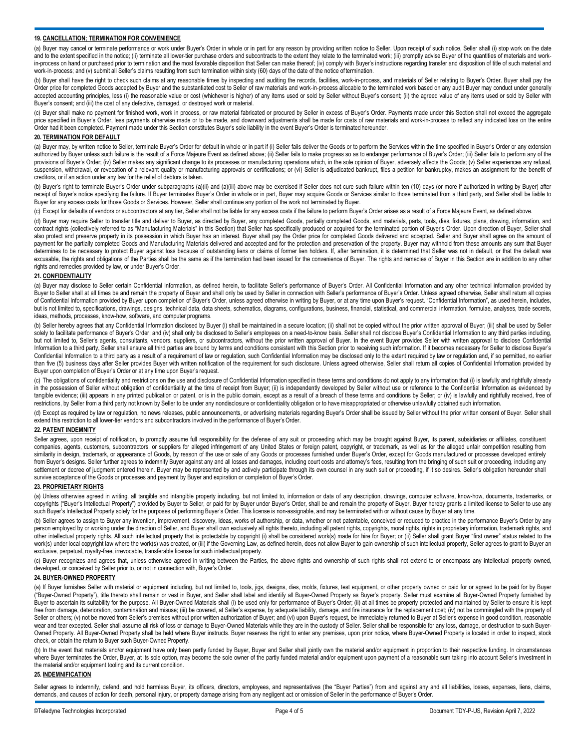#### **19. CANCELLATION; TERMINATION FOR CONVENIENCE**

(a) Buyer may cancel or terminate performance or work under Buyer's Order in whole or in part for any reason by providing written notice to Seller. Upon receipt of such notice, Seller shall (i) stop work on the date and to the extent specified in the notice; (ii) terminate all lower-tier purchase orders and subcontracts to the extent they relate to the terminated work; (iii) promptly advise Buyer of the quantities of materials and wor in-process on hand or purchased prior to termination and the most favorable disposition that Seller can make thereof; (iv) comply with Buyer's instructions regarding transfer and disposition of title of such material and a work-in-process; and (v) submit all Seller's claims resulting from such termination within sixty (60) days of the date of the notice of termination.

(b) Buyer shall have the right to check such claims at any reasonable times by inspecting and auditing the records, facilities, work-in-process, and materials of Seller relating to Buyer's Order. Buyer shall pay the Order price for completed Goods accepted by Buyer and the substantiated cost to Seller of raw materials and work-in-process allocable to the terminated work based on any audit Buyer may conduct under generally accepted accounting principles, less (i) the reasonable value or cost (whichever is higher) of any items used or sold by Seller without Buyer's consent; (ii) the agreed value of any items used or sold by Seller with Buyer's consent; and (iii) the cost of any defective, damaged, or destroyed work or material

(c) Buyer shall make no payment for finished work, work in process, or raw material fabricated or procured by Seller in excess of Buyer's Order. Payments made under this Section shall not exceed the aggregate price specified in Buyer's Order, less payments otherwise made or to be made, and downward adjustments shall be made for costs of raw materials and work-in-process to reflect any indicated loss on the entire Order had it been completed. Payment made under this Section constitutes Buyer's sole liability in the event Buyer's Order is terminated hereunder.

### **20. TERMINATION FOR DEFAULT**

(a) Buyer may, by written notice to Seller, terminate Buyer's Order for default in whole or in part if (i) Seller fails deliver the Goods or to perform the Services within the time specified in Buyer's Order or any extensi authorized by Buyer unless such failure is the result of a Force Majeure Event as defined above; (ii) Seller fails to make progress so as to endanger performance of Buyer's Order; (iii) Seller fails to perform any of the provisions of Buyer's Order; (iv) Seller makes any significant change to its processes or manufacturing operations which, in the sole opinion of Buyer, adversely affects the Goods; (v) Seller experiences any refusal, suspension, withdrawal, or revocation of a relevant quality or manufacturing approvals or certifications; or (vi) Seller is adjudicated bankrupt, files a petition for bankruptcy, makes an assignment for the benefit of creditors, or if an action under any law for the relief of debtors is taken.

(b) Buyer's right to terminate Buyer's Order under subparagraphs (a)(ii) and (a)(iii) above may be exercised if Seller does not cure such failure within ten (10) days (or more if authorized in writing by Buyer) after receipt of Buyer's notice specifying the failure. If Buyer terminates Buyer's Order in whole or in part, Buyer may acquire Goods or Services similar to those terminated from a third party, and Seller shall be liable to Buyer for any excess costs for those Goods or Services. However, Seller shall continue any portion of the work not terminated by Buyer.

(c) Except for defaults of vendors or subcontractors at any tier, Seller shall not be liable for any excess costs if the failure to perform Buyer's Order arises as a result of a Force Majeure Event, as defined above.

(d) Buyer may require Seller to transfer title and deliver to Buyer, as directed by Buyer, any completed Goods, partially completed Goods, and materials, parts, tools, dies, fixtures, plans, drawing, information, and contract rights (collectively referred to as "Manufacturing Materials" in this Section) that Seller has specifically produced or acquired for the terminated portion of Buyer's Order. Upon direction of Buyer, Seller shall also protect and preserve property in its possession in which Buyer has an interest. Buyer shall pay the Order price for completed Goods delivered and accepted. Seller and Buyer shall agree on the amount of payment for the partially completed Goods and Manufacturing Materials delivered and accepted and for the protection and preservation of the property. Buyer may withhold from these amounts any sum that Buyer determines to be necessary to protect Buyer against loss because of outstanding liens or claims of former lien holders. If, after termination, it is determined that Seller was not in default, or that the default was excusable, the rights and obligations of the Parties shall be the same as if the termination had been issued for the convenience of Buyer. The rights and remedies of Buyer in this Section are in addition to any other rights and remedies provided by law, or under Buyer's Order.

# **21. CONFIDENTIALITY**

(a) Buyer may disclose to Seller certain Confidential Information, as defined herein, to facilitate Seller's performance of Buyer's Order. All Confidential Information and any other technical information provided by Buyer to Seller shall at all times be and remain the property of Buyer and shall only be used by Seller in connection with Seller's performance of Buyer's Order. Unless agreed otherwise, Seller shall return all copies of Confidential Information provided by Buyer upon completion of Buyer's Order, unless agreed otherwise in writing by Buyer, or at any time upon Buyer's request. "Confidential Information", as used herein, includes, but is not limited to, specifications, drawings, designs, technical data, data sheets, schematics, diagrams, configurations, business, financial, statistical, and commercial information, formulae, analyses, trade secrets, ideas, methods, processes, know-how, software, and computer programs.

(b) Seller hereby agrees that any Confidential Information disclosed by Buyer (i) shall be maintained in a secure location; (ii) shall not be copied without the prior written approval of Buyer; (iii) shall be used by Seller solely to facilitate performance of Buyer's Order; and (iv) shall only be disclosed to Seller's employees on a need-to-know basis. Seller shall not disclose Buyer's Confidential Information to any third parties including, but not limited to, Seller's agents, consultants, vendors, suppliers, or subcontractors, without the prior written approval of Buyer. In the event Buyer provides Seller with written approval to disclose Confidential Information to a third party, Seller shall ensure all third parties are bound by terms and conditions consistent with this Section prior to receiving such information. If it becomes necessary for Seller to disclose Buyer's Confidential Information to a third party as a result of a requirement of law or regulation, such Confidential Information may be disclosed only to the extent required by law or regulation and, if so permitted, no earlier than five (5) business days after Seller provides Buyer with written notification of the requirement for such disclosure. Unless agreed otherwise, Seller shall return all copies of Confidential Information provided by Buyer upon completion of Buyer's Order or at any time upon Buyer's request.

(c) The obligations of confidentiality and restrictions on the use and disclosure of Confidential Information specified in these terms and conditions do not apply to any information that (i) is lawfully and rightfully alre in the possession of Seller without obligation of confidentiality at the time of receipt from Buyer; (ii) is independently developed by Seller without use or reference to the Confidential Information as evidenced by tangible evidence; (iii) appears in any printed publication or patent, or is in the public domain, except as a result of a breach of these terms and conditions by Seller; or (iv) is lawfully and rightfully received, free o restrictions, by Seller from a third party not known by Seller to be under any nondisclosure or confidentiality obligation or to have misappropriated or otherwise unlawfully obtained such information.

(d) Except as required by law or regulation, no news releases, public announcements, or advertising materials regarding Buyer's Order shall be issued by Seller without the prior written consent of Buyer. Seller shall extend this restriction to all lower-tier vendors and subcontractors involved in the performance of Buyer's Order.

#### **22. PATENT INDEMNITY**

Seller agrees, upon receipt of notification, to promptly assume full responsibility for the defense of any suit or proceeding which may be brought against Buyer, its parent, subsidiaries or affiliates, constituent companies, agents, customers, subcontractors, or suppliers for alleged infringement of any United States or foreign patent, copyright, or trademark, as well as for the alleged unfair competition resulting from similarity in design, trademark, or appearance of Goods, by reason of the use or sale of any Goods or processes furnished under Buyer's Order, except for Goods manufactured or processes developed entirely from Buyer's designs. Seller further agrees to indemnify Buyer against any and all losses and damages, including court costs and attorney's fees, resulting from the bringing of such suit or proceeding, including any settlement or decree of judgment entered therein. Buyer may be represented by and actively participate through its own counsel in any such suit or proceeding, if it so desires. Seller's obligation hereunder shall survive acceptance of the Goods or processes and payment by Buyer and expiration or completion of Buyer's Order.

#### **23. PROPRIETARY RIGHTS**

(a) Unless otherwise agreed in writing, all tangible and intangible property including, but not limited to, information or data of any description, drawings, computer software, know-how, documents, trademarks, or copyrights ("Buyer's Intellectual Property") provided by Buyer to Seller, or paid for by Buyer under Buyer's Order, shall be and remain the property of Buyer. Buyer hereby grants a limited license to Seller to use any such Buyer's Intellectual Property solely for the purposes of performing Buyer's Order. This license is non-assignable, and may be terminated with or without cause by Buyer at any time.

(b) Seller agrees to assign to Buyer any invention, improvement, discovery, ideas, works of authorship, or data, whether or not patentable, conceived or reduced to practice in the performance Buyer's Order by any person employed by or working under the direction of Seller, and Buyer shall own exclusively all rights thereto, including all patent rights, copyrights, moral rights, rights in proprietary information, trademark rights, a other intellectual property rights. All such intellectual property that is protectable by copyright (i) shall be considered work(s) made for hire for Buyer; or (ii) Seller shall grant Buyer "first owner" status related to work(s) under local copyright law where the work(s) was created, or (iii) if the Governing Law, as defined herein, does not allow Buyer to gain ownership of such intellectual property, Seller agrees to grant to Buyer an exclusive, perpetual, royalty-free, irrevocable, transferable license for such intellectual property.

(c) Buyer recognizes and agrees that, unless otherwise agreed in writing between the Parties, the above rights and ownership of such rights shall not extend to or encompass any intellectual property owned, developed, or conceived by Seller prior to, or not in connection with, Buyer's Order.

# **24. BUYER-OWNED PROPERTY**

(a) If Buyer furnishes Seller with material or equipment including, but not limited to, tools, jigs, designs, dies, molds, fixtures, test equipment, or other property owned or paid for or agreed to be paid for by Buyer ("Buyer-Owned Property"), title thereto shall remain or vest in Buyer, and Seller shall label and identify all Buyer-Owned Property as Buyer's property. Seller must examine all Buyer-Owned Property furnished by Buyer to ascertain its suitability for the purpose. All Buyer-Owned Materials shall (i) be used only for performance of Buyer's Order; (ii) at all times be properly protected and maintained by Seller to ensure it is kept free from damage, deterioration, contamination and misuse; (iii) be covered, at Seller's expense, by adequate liability, damage, and fire insurance for the replacement cost; (iv) not be commingled with the property of Seller or others; (v) not be moved from Seller's premises without prior written authorization of Buyer; and (vi) upon Buyer's request, be immediately returned to Buyer at Seller's expense in good condition, reasonable wear and tear excepted. Seller shall assume all risk of loss or damage to Buyer-Owned Materials while they are in the custody of Seller. Seller shall be responsible for any loss, damage, or destruction to such Buyer-Owned Property. All Buyer-Owned Property shall be held where Buyer instructs. Buyer reserves the right to enter any premises, upon prior notice, where Buyer-Owned Property is located in order to inspect, stock check, or obtain the return to Buyer such Buyer-OwnedProperty.

(b) In the event that materials and/or equipment have only been partly funded by Buyer, Buyer and Seller shall jointly own the material and/or equipment in proportion to their respective funding. In circumstances where Buyer terminates the Order, Buyer, at its sole option, may become the sole owner of the partly funded material and/or equipment upon payment of a reasonable sum taking into account Seller's investment in the material and/or equipment tooling and its current condition.

# **25. INDEMNIFICATION**

Seller agrees to indemnify, defend, and hold harmless Buyer, its officers, directors, employees, and representatives (the "Buyer Parties") from and against any and all liabilities, losses, expenses, liens, claims, demands, and causes of action for death, personal injury, or property damage arising from any negligent act or omission of Seller in the performance of Buyer's Order.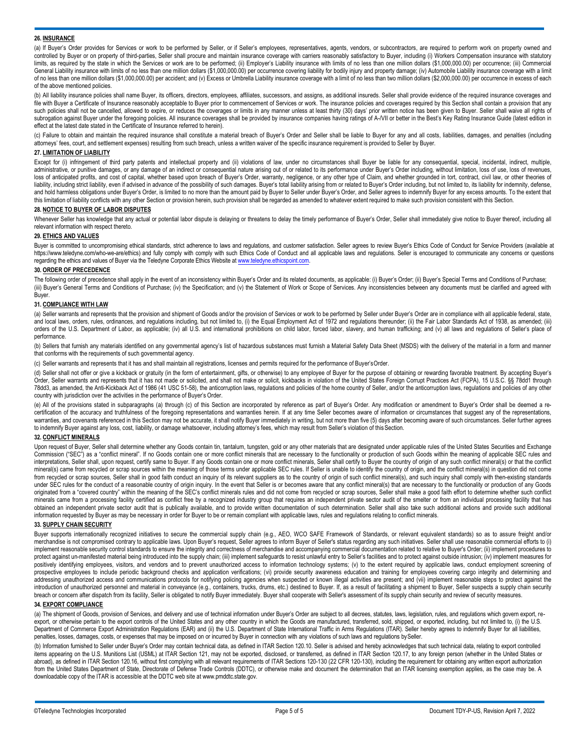### **26. INSURANCE**

(a) If Buyer's Order provides for Services or work to be performed by Seller, or if Seller's employees, representatives, agents, vendors, or subcontractors, are required to perform work on property owned and controlled by Buyer or on property of third-parties, Seller shall procure and maintain insurance coverage with carriers reasonably satisfactory to Buyer, including (i) Workers Compensation insurance with statutory limits, as required by the state in which the Services or work are to be performed; (ii) Employer's Liability insurance with limits of no less than one million dollars (\$1,000,000.00) per occurrence; (iii) Commercial General Liability insurance with limits of no less than one million dollars (\$1,000,000.00) per occurrence covering liability for bodily injury and property damage; (iv) Automobile Liability insurance coverage with a limit of no less than one million dollars (\$1,000,000.00) per accident; and (v) Excess or Umbrella Liability insurance coverage with a limit of no less than two million dollars (\$2,000,000.00) per occurrence in excess of each of the above mentioned policies.

(b) All liability insurance policies shall name Buyer, its officers, directors, employees, affiliates, successors, and assigns, as additional insureds. Seller shall provide evidence of the required insurance coverages and file with Buyer a Certificate of Insurance reasonably acceptable to Buyer prior to commencement of Services or work. The insurance policies and coverages required by this Section shall contain a provision that any such policies shall not be cancelled, allowed to expire, or reduces the coverages or limits in any manner unless at least thirty (30) days' prior written notice has been given to Buyer. Seller shall waive all rights of subrogation against Buyer under the foregoing policies. All insurance coverages shall be provided by insurance companies having ratings of A-/VII or better in the Best's Key Rating Insurance Guide (latest edition in effect at the latest date stated in the Certificate of Insurance referred to herein).

(c) Failure to obtain and maintain the required insurance shall constitute a material breach of Buyer's Order and Seller shall be liable to Buyer for any and all costs, liabilities, damages, and penalties (including attorneys' fees, court, and settlement expenses) resulting from such breach, unless a written waiver of the specific insurance requirement is provided to Seller by Buyer.

# **27. LIMITATION OF LIABILITY**

Except for (i) infringement of third party patents and intellectual property and (ii) violations of law, under no circumstances shall Buyer be liable for any consequential, special, incidental, indirect, multiple, administrative, or punitive damages, or any damage of an indirect or consequential nature arising out of or related to its performance under Buyer's Order including, without limitation, loss of use, loss of revenues, loss of anticipated profits, and cost of capital, whether based upon breach of Buyer's Order, warranty, negligence, or any other type of Claim, and whether grounded in tort, contract, civil law, or other theories of liability, including strict liability, even if advised in advance of the possibility of such damages. Buyer's total liability arising from or related to Buyer's Order including, but not limited to, its liability for indemn and hold harmless obligations under Buyer's Order, is limited to no more than the amount paid by Buyer to Seller under Buyer's Order, and Seller agrees to indemnify Buyer for any excess amounts. To the extent that this limitation of liability conflicts with any other Section or provision herein, such provision shall be regarded as amended to whatever extent required to make such provision consistent with this Section.

### **28. NOTICE TO BUYER OF LABOR DISPUTES**

Whenever Seller has knowledge that any actual or potential labor dispute is delaying or threatens to delay the timely performance of Buyer's Order, Seller shall immediately give notice to Buyer thereof, including all relevant information with respect thereto.

### **29. ETHICS AND VALUES**

Buyer is committed to uncompromising ethical standards, strict adherence to laws and regulations, and customer satisfaction. Seller agrees to review Buyer's Ethics Code of Conduct for Service Providers (available at <https://www.teledyne.com/who-we-are/ethics>) and fully comply with comply with such Ethics Code of Conduct and all applicable laws and regulations. Seller is encouraged to communicate any concerns or questions regarding the ethics and values of Buyer via the Teledyne Corporate Ethics Website at www.teledyne.ethicspoint.com.

### **30. ORDER OF PRECEDENCE**

The following order of precedence shall apply in the event of an inconsistency within Buyer's Order and its related documents, as applicable: (i) Buyer's Order; (ii) Buyer's Special Terms and Conditions of Purchase; (iii) Buyer's General Terms and Conditions of Purchase; (iv) the Specification; and (v) the Statement of Work or Scope of Services. Any inconsistencies between any documents must be clarified and agreed with Buyer.

#### **31. COMPLIANCE WITH LAW**

(a) Seller warrants and represents that the provision and shipment of Goods and/or the provision of Services or work to be performed by Seller under Buyer's Order are in compliance with all applicable federal, state, and local laws, orders, rules, ordinances, and regulations including, but not limited to, (i) the Equal Employment Act of 1972 and regulations thereunder; (ii) the Fair Labor Standards Act of 1938, as amended; (iii) orders of the U.S. Department of Labor, as applicable; (iv) all U.S. and international prohibitions on child labor, forced labor, slavery, and human trafficking; and (v) all laws and regulations of Seller's place of performance.

(b) Sellers that furnish any materials identified on any governmental agency's list of hazardous substances must furnish a Material Safety Data Sheet (MSDS) with the delivery of the material in a form and manner that conforms with the requirements of such governmental agency.

(c) Seller warrants and represents that it has and shall maintain all registrations, licenses and permits required for the performance of Buyer'sOrder.

(d) Seller shall not offer or give a kickback or gratuity (in the form of entertainment, gifts, or otherwise) to any employee of Buyer for the purpose of obtaining or rewarding favorable treatment. By accepting Buyer's Order, Seller warrants and represents that it has not made or solicited, and shall not make or solicit, kickbacks in violation of the United States Foreign Corrupt Practices Act (FCPA), 15 U.S.C. §§ 78dd1 through 78dd3, as amended, the Anti-Kickback Act of 1986 (41 USC 51-58), the anticorruption laws, regulations and policies of the home country of Seller, and/or the anticorruption laws, regulations and policies of any other country with jurisdiction over the activities in the performance of Buyer's Order.

(e) All of the provisions stated in subparagraphs (a) through (c) of this Section are incorporated by reference as part of Buyer's Order. Any modification or amendment to Buyer's Order shall be deemed a recertification of the accuracy and truthfulness of the foregoing representations and warranties herein. If at any time Seller becomes aware of information or circumstances that suggest any of the representations, warranties, and covenants referenced in this Section may not be accurate, it shall notify Buyer immediately in writing, but not more than five (5) days after becoming aware of such circumstances. Seller further agrees to indemnify Buyer against any loss, cost, liability, or damage whatsoever, including attorney's fees, which may result from Seller's violation of thisSection.

### **32. CONFLICT MINERALS**

Upon request of Buyer, Seller shall determine whether any Goods contain tin, tantalum, tungsten, gold or any other materials that are designated under applicable rules of the United States Securities and Exchange Commission ("SEC") as a "conflict mineral". If no Goods contain one or more conflict minerals that are necessary to the functionality or production of such Goods within the meaning of applicable SEC rules and interpretations, Seller shall, upon request, certify same to Buyer. If any Goods contain one or more conflict minerals, Seller shall certify to Buyer the country of origin of any such conflict mineral(s) or that the confli mineral(s) came from recycled or scrap sources within the meaning of those terms under applicable SEC rules. If Seller is unable to identify the country of origin, and the conflict mineral(s) in question did not come from recycled or scrap sources, Seller shall in good faith conduct an inquiry of its relevant suppliers as to the country of origin of such conflict mineral(s), and such inquiry shall comply with then-existing standards under SEC rules for the conduct of a reasonable country of origin inquiry. In the event that Seller is or becomes aware that any conflict mineral(s) that are necessary to the functionality or production of any Goods originated from a "covered country" within the meaning of the SEC's conflict minerals rules and did not come from recycled or scrap sources. Seller shall make a good faith effort to determine whether such conflict minerals came from a processing facility certified as conflict free by a recognized industry group that requires an independent private sector audit of the smelter or from an individual processing facility that has obtained an independent private sector audit that is publically available, and to provide written documentation of such determination. Seller shall also take such additional actions and provide such additional information requested by Buyer as may be necessary in order for Buyer to be or remain compliant with applicable laws, rules and regulations relating to conflict minerals.

# **33. SUPPLY CHAIN SECURITY**

Buyer supports internationally recognized initiatives to secure the commercial supply chain (e.g., AEO, WCO SAFE Framework of Standards, or relevant equivalent standards) so as to assure freight and/or merchandise is not compromised contrary to applicable laws. Upon Buyer's request, Seller agrees to inform Buyer of Seller's status regarding any such initiatives. Seller shall use reasonable commercial efforts to (i) implement reasonable security control standards to ensure the integrity and correctness of merchandise and accompanying commercial documentation related to relative to Buyer's Order; (ii) implement procedures to protect against un-manifested material being introduced into the supply chain; (iii) implement safeguards to resist unlawful entry to Seller's facilities and to protect against outside intrusion; (iv) implement measures fo positively identifying employees, visitors, and vendors and to prevent unauthorized access to information technology systems; (v) to the extent required by applicable laws, conduct employment screening of prospective employees to include periodic background checks and application verifications; (vi) provide security awareness education and training for employees covering cargo integrity and determining and addressing unauthorized access and communications protocols for notifying policing agencies when suspected or known illegal activities are present; and (vii) implement reasonable steps to protect against the introduction of unauthorized personnel and material in conveyance (e.g., containers, trucks, drums, etc.) destined to Buyer. If, as a result of facilitating a shipment to Buyer, Seller suspects a supply chain security breach or concern after dispatch from its facility, Seller is obligated to notify Buyer immediately. Buyer shall cooperate with Seller's assessment of its supply chain security and review of security measures.

# **34. EXPORT COMPLIANCE**

(a) The shipment of Goods, provision of Services, and delivery and use of technical information under Buyer's Order are subject to all decrees, statutes, laws, legislation, rules, and regulations which govern export, reexport, or otherwise pertain to the export controls of the United States and any other country in which the Goods are manufactured, transferred, sold, shipped, or exported, including, but not limited to, (i) the U.S. Department of Commerce Export Administration Regulations (EAR) and (ii) the U.S. Department of State International Traffic in Arms Regulations (ITAR). Seller hereby agrees to indemnify Buyer for all liabilities, penalties, losses, damages, costs, or expenses that may be imposed on or incurred by Buyer in connection with any violations of such laws and regulations bySeller.

(b) Information furnished to Seller under Buyer's Order may contain technical data, as defined in ITAR Section 120.10. Seller is advised and hereby acknowledges that such technical data, relating to export controlled items appearing on the U.S. Munitions List (USML) at ITAR Section 121, may not be exported, disclosed, or transferred, as defined in ITAR Section 120.17, to any foreign person (whether in the United States or abroad), as defined in ITAR Section 120.16, without first complying with all relevant requirements of ITAR Sections 120-130 (22 CFR 120-130), including the requirement for obtaining any written export authorization from the United States Department of State, Directorate of Defense Trade Controls (DDTC), or otherwise make and document the determination that an ITAR licensing exemption applies, as the case may be. A downloadable copy of the ITAR is accessible at the DDTC web site at [www.pmddtc.state.gov.](http://www.pmddtc.state.gov/)